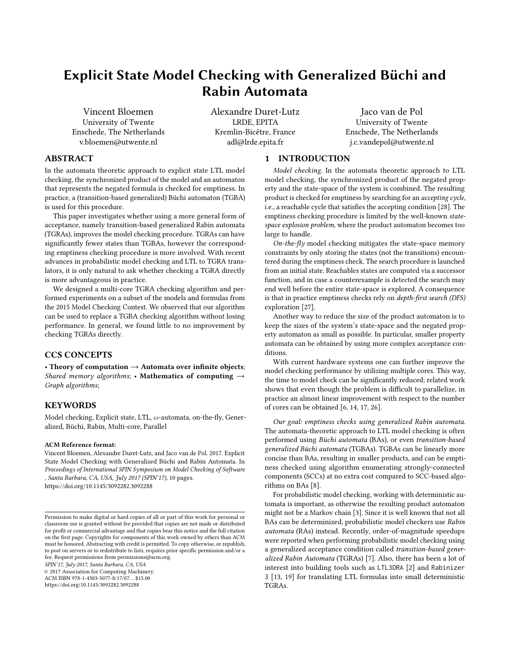# Explicit State Model Checking with Generalized Büchi and Rabin Automata

Vincent Bloemen University of Twente Enschede, The Netherlands v.bloemen@utwente.nl

Alexandre Duret-Lutz LRDE, EPITA Kremlin-Bicêtre, France adl@lrde.epita.fr

Jaco van de Pol University of Twente Enschede, The Netherlands j.c.vandepol@utwente.nl

# ABSTRACT

In the automata theoretic approach to explicit state LTL model checking, the synchronized product of the model and an automaton that represents the negated formula is checked for emptiness. In practice, a (transition-based generalized) Büchi automaton (TGBA) is used for this procedure.

This paper investigates whether using a more general form of acceptance, namely transition-based generalized Rabin automata (TGRAs), improves the model checking procedure. TGRAs can have significantly fewer states than TGBAs, however the corresponding emptiness checking procedure is more involved. With recent advances in probabilistic model checking and LTL to TGRA translators, it is only natural to ask whether checking a TGRA directly is more advantageous in practice.

We designed a multi-core TGRA checking algorithm and performed experiments on a subset of the models and formulas from the 2015 Model Checking Contest. We observed that our algorithm can be used to replace a TGBA checking algorithm without losing performance. In general, we found little to no improvement by checking TGRAs directly.

# CCS CONCEPTS

• Theory of computation  $\rightarrow$  Automata over infinite objects; Shared memory algorithms; • Mathematics of computing  $\rightarrow$ Graph algorithms;

# KEYWORDS

Model checking, Explicit state, LTL,  $\omega$ -automata, on-the-fly, Generalized, Büchi, Rabin, Multi-core, Parallel

#### ACM Reference format:

Vincent Bloemen, Alexandre Duret-Lutz, and Jaco van de Pol. 2017. Explicit State Model Checking with Generalized Büchi and Rabin Automata. In Proceedings of International SPIN Symposium on Model Checking of Software , Santa Barbara, CA, USA, July 2017 (SPIN'17), [10](#page-9-0) pages. <https://doi.org/10.1145/3092282.3092288>

SPIN'17, July 2017, Santa Barbara, CA, USA

© 2017 Association for Computing Machinery.

ACM ISBN 978-1-4503-5077-8/17/07. . . \$15.00

<https://doi.org/10.1145/3092282.3092288>

# <span id="page-0-0"></span>1 INTRODUCTION

Model checking. In the automata theoretic approach to LTL model checking, the synchronized product of the negated property and the state-space of the system is combined. The resulting product is checked for emptiness by searching for an accepting cycle, i.e., a reachable cycle that satisfies the accepting condition [\[28\]](#page-9-1). The emptiness checking procedure is limited by the well-known statespace explosion problem, where the product automaton becomes too large to handle.

On-the-fly model checking mitigates the state-space memory constraints by only storing the states (not the transitions) encountered during the emptiness check. The search procedure is launched from an initial state. Reachables states are computed via a successor function, and in case a counterexample is detected the search may end well before the entire state-space is explored. A consequence is that in practice emptiness checks rely on depth-first search (DFS) exploration [\[27\]](#page-9-2).

Another way to reduce the size of the product automaton is to keep the sizes of the system's state-space and the negated property automaton as small as possible. In particular, smaller property automata can be obtained by using more complex acceptance conditions.

With current hardware systems one can further improve the model checking performance by utilizing multiple cores. This way, the time to model check can be significantly reduced; related work shows that even though the problem is difficult to parallelize, in practice an almost linear improvement with respect to the number of cores can be obtained [\[6,](#page-9-3) [14,](#page-9-4) [17,](#page-9-5) [26\]](#page-9-6).

Our goal: emptiness checks using generalized Rabin automata. The automata-theoretic approach to LTL model checking is often performed using Büchi automata (BAs), or even transition-based generalized Büchi automata (TGBAs). TGBAs can be linearly more concise than BAs, resulting in smaller products, and can be emptiness checked using algorithm enumerating strongly-connected components (SCCs) at no extra cost compared to SCC-based algorithms on BAs [\[8\]](#page-9-7).

For probabilistic model checking, working with deterministic automata is important, as otherwise the resulting product automaton might not be a Markov chain [\[3\]](#page-8-0). Since it is well known that not all BAs can be determinized, probabilistic model checkers use Rabin automata (RAs) instead. Recently, order-of-magnitude speedups were reported when performing probabilistic model checking using a generalized acceptance condition called transition-based generalized Rabin Automata (TGRAs) [\[7\]](#page-9-8). Also, there has been a lot of interest into building tools such as LTL3DRA [\[2\]](#page-8-1) and Rabinizer 3 [\[13,](#page-9-9) [19\]](#page-9-10) for translating LTL formulas into small deterministic TGRAs.

Permission to make digital or hard copies of all or part of this work for personal or classroom use is granted without fee provided that copies are not made or distributed for profit or commercial advantage and that copies bear this notice and the full citation on the first page. Copyrights for components of this work owned by others than ACM must be honored. Abstracting with credit is permitted. To copy otherwise, or republish, to post on servers or to redistribute to lists, requires prior specific permission and/or a fee. Request permissions from permissions@acm.org.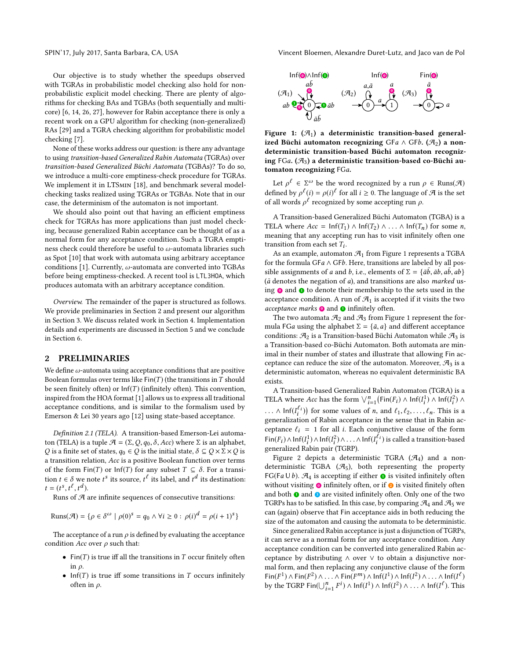SPIN'17, July 2017, Santa Barbara, CA, USA Vincent Bloemen, Alexandre Duret-Lutz, and Jaco van de Pol

Our objective is to study whether the speedups observed with TGRAs in probabilistic model checking also hold for nonprobabilistic explicit model checking. There are plenty of algorithms for checking BAs and TGBAs (both sequentially and multicore) [\[6,](#page-9-3) [14,](#page-9-4) [26,](#page-9-6) [27\]](#page-9-2), however for Rabin acceptance there is only a recent work on a GPU algorithm for checking (non-generalized) RAs [\[29\]](#page-9-11) and a TGRA checking algorithm for probabilistic model checking [\[7\]](#page-9-8).

None of these works address our question: is there any advantage to using transition-based Generalized Rabin Automata (TGRAs) over transition-based Generalized Büchi Automata (TGBAs)? To do so, we introduce a multi-core emptiness-check procedure for TGRAs. We implement it in LTSmin [\[18\]](#page-9-12), and benchmark several modelchecking tasks realized using TGRAs or TGBAs. Note that in our case, the determinism of the automaton is not important.

We should also point out that having an efficient emptiness check for TGRAs has more applications than just model checking, because generalized Rabin acceptance can be thought of as a normal form for any acceptance condition. Such a TGRA emptiness check could therefore be useful to ω-automata libraries such as Spot [\[10\]](#page-9-13) that work with automata using arbitrary acceptance conditions [\[1\]](#page-8-2). Currently,  $\omega$ -automata are converted into TGBAs before being emptiness-checked. A recent tool is LTL3HOA, which produces automata with an arbitrary acceptance condition.

Overview. The remainder of the paper is structured as follows. We provide preliminaries in [Section 2](#page-1-0) and present our algorithm in [Section 3.](#page-2-0) We discuss related work in [Section 4.](#page-5-0) Implementation details and experiments are discussed in [Section 5](#page-5-1) and we conclude in [Section 6.](#page-8-3)

# <span id="page-1-0"></span>2 PRELIMINARIES

We define  $\omega$ -automata using acceptance conditions that are positive Boolean formulas over terms like  $Fin(T)$  (the transitions in  $T$  should be seen finitely often) or  $Inf(T)$  (infinitely often). This convention, inspired from the HOA format [\[1\]](#page-8-2) allows us to express all traditional acceptance conditions, and is similar to the formalism used by Emerson & Lei 30 years ago [\[12\]](#page-9-14) using state-based acceptance.

Definition 2.1 (TELA). A transition-based Emerson-Lei automaton (TELA) is a tuple  $\mathcal{A} = (\Sigma, Q, q_0, \delta, Acc)$  where  $\Sigma$  is an alphabet,  $Q$  is a finite set of states,  $q_0 \in Q$  is the initial state,  $\delta \subseteq Q \times \Sigma \times Q$  is a transition relation, Acc is a positive Boolean function over terms of the form Fin(T) or Inf(T) for any subset  $T \subseteq \delta$ . For a transition  $t \in \delta$  we note  $t^s$  its source,  $t^{\ell}$  its label, and  $t^d$  its destination:  $t = (t^s, t^{\ell}, t^d).$ <br>Puns of  $\mathcal{A}$ .

Runs of  $\mathcal A$  are infinite sequences of consecutive transitions:

$$
\text{Runs}(\mathcal{A}) = \{ \rho \in \delta^{\omega} \mid \rho(0)^s = q_0 \land \forall i \ge 0 : \rho(i)^d = \rho(i+1)^s \}
$$

The acceptance of a run  $\rho$  is defined by evaluating the acceptance condition Acc over  $\rho$  such that:

- Fin( $T$ ) is true iff all the transitions in  $T$  occur finitely often in  $\rho$ .
- $Inf(T)$  is true iff some transitions in T occurs infinitely often in  $\rho$ .

<span id="page-1-1"></span>

Figure 1:  $(\mathcal{A}_1)$  a deterministic transition-based generalized Büchi automaton recognizing GFa  $\wedge$  GFb. ( $\mathcal{A}_2$ ) a nondeterministic transition-based Büchi automaton recognizing FGa.  $(\mathcal{A}_3)$  a deterministic transition-based co-Büchi automaton recognizing FGa.

Let  $\rho^{\ell} \in \Sigma^{\omega}$  be the word recognized by a run  $\rho \in \text{RunS}(\mathcal{A})$ <br>fined by  $g^{\ell}(i) = g(i)^{\ell}$  for all  $i > 0$ . The language of  $\mathcal{A}$  is the set defined by  $\rho^{\ell}(i) = \rho(i)^{\ell}$  for all  $i \geq 0$ . The language of  $\mathcal{A}$  is the set of all words  $\rho^t$  recognized by some accepting run  $\rho$ .

A Transition-based Generalized Büchi Automaton (TGBA) is a TELA where  $Acc = Inf(T_1) \wedge Inf(T_2) \wedge ... \wedge Inf(T_n)$  for some n, meaning that any accepting run has to visit infinitely often one transition from each set  $T_i$ .<br>As an example automate

As an example, automaton  $\mathcal{A}_1$  from [Figure 1](#page-1-1) represents a TGBA for the formula GFa  $\land$  GFb. Here, transitions are labeled by all possible assignments of a and b, i.e., elements of  $\Sigma = {\bar{a}\bar{b}, \bar{a}\bar{b}, \bar{a}\bar{b}, \bar{a}\bar{b}, \bar{a}\bar{b}}$ ,  $\bar{a}\bar{b}$ ,  $\bar{a}\bar{b}$ ,  $\bar{a}\bar{b}$ ,  $\bar{a}\bar{b}$ ,  $\bar{a}\bar{b}$ ,  $\bar{a}\bar{b}$ ,  $\bar{a}\bar{b}$ ,  $\bar{a}\bar{b}$ ,  $\bar{a}\bar{b}$ ,  $\bar{$ ( $\bar{a}$  denotes the negation of  $a$ ), and transitions are also *marked* using  $\bullet$  and  $\bullet$  to denote their membership to the sets used in the acceptance condition. A run of  $\mathcal{A}_1$  is accepted if it visits the two acceptance marks  $\bullet$  and  $\bullet$  infinitely often.

The two automata  $\mathcal{A}_2$  and  $\mathcal{A}_3$  from [Figure 1](#page-1-1) represent the formula FGa using the alphabet  $\Sigma = {\bar{a}, a}$  and different acceptance conditions:  $\mathcal{A}_2$  is a Transition-based Büchi Automaton while  $\mathcal{A}_3$  is a Transition-based co-Büchi Automaton. Both automata are minimal in their number of states and illustrate that allowing Fin acceptance can reduce the size of the automaton. Moreover,  $\mathcal{A}_3$  is a deterministic automaton, whereas no equivalent deterministic BA exists.

A Transition-based Generalized Rabin Automaton (TGRA) is a TELA where Acc has the form  $\bigvee_{i=1}^{n} (\text{Fin}(F_i) \wedge \text{Inf}(I_i^1) \wedge \text{Inf}(I_i^2) \wedge$ <br>A luf(I<sup>f(i)</sup>) for agree values of m and  $\ell = \ell$ .

... ∧ Inf(I<sup>t<sub>i</sub>)</sup>) for some values of n, and  $\ell_1, \ell_2, ..., \ell_n$ . This is a concernation of Pobin acceptance in the sense that in Pobin acgeneralization of Rabin acceptance in the sense that in Rabin acceptance  $\ell_i = 1$  for all *i*. Each conjunctive clause of the form Fin( $F_i$ )∧Inf( $I_i^1$ )∧Inf( $I_i^2$ )∧...∧Inf( $I_i^{F_i}$ ) is called a transition-based<br>generalized Rabin pair (TGBP) generalized Rabin pair (TGRP).

[Figure 2](#page-2-1) depicts a deterministic TGRA  $(\mathcal{A}_4)$  and a nondeterministic TGBA  $(A_5)$ , both representing the property FG(Fa U b).  $\mathcal{A}_4$  is accepting if either  $\bullet$  is visited infinitely often without visiting  $\bullet$  infinitely often, or if  $\bullet$  is visited finitely often and both  $\bullet$  and  $\bullet$  are visited infinitely often. Only one of the two TGRPs has to be satisfied. In this case, by comparing  $\mathcal{A}_4$  and  $\mathcal{A}_5$  we can (again) observe that Fin acceptance aids in both reducing the size of the automaton and causing the automata to be deterministic.

Since generalized Rabin acceptance is just a disjunction of TGRPs, it can serve as a normal form for any acceptance condition. Any acceptance condition can be converted into generalized Rabin acceptance by distributing ∧ over ∨ to obtain a disjunctive normal form, and then replacing any conjunctive clause of the form Fin(F<sup>1</sup>)  $\land$  Fin(F<sup>2</sup>)  $\land \dots \land$  Fin(F<sup>m</sup>)  $\land$  Inf(I<sup>1</sup>)  $\land$  Inf(I<sup>2</sup>)  $\land \dots \land$  Inf(I<sup>E</sup>) <br>by the TGRP Fin( $\downarrow$ <sup>n</sup> F<sup>i</sup>)  $\land$  Inf(I<sup>1</sup>)  $\land$  Inf(I<sup>2</sup>)  $\land \dots \land$  Inf(I<sup>E</sup>) This by the TGRP  $\text{Fin}(\bigcup_{i=1}^n F^i) \wedge \text{Inf}(I^1) \wedge \text{Inf}(I^2) \wedge \ldots \wedge \text{Inf}(I^{\ell}).$  This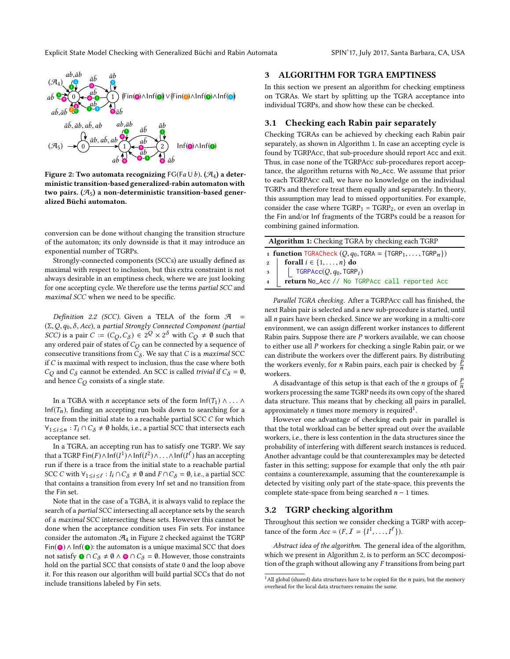Explicit State Model Checking with Generalized Büchi and Rabin Automata SPIN'17, July 2017, Santa Barbara, CA, USA

<span id="page-2-1"></span>

Figure 2: Two automata recognizing  $FG(Fa \cup b)$ . (A<sub>4</sub>) a deterministic transition-based generalized-rabin automaton with two pairs.  $(\mathcal{A}_5)$  a non-deterministic transition-based generalized Büchi automaton.

conversion can be done without changing the transition structure of the automaton; its only downside is that it may introduce an exponential number of TGRPs.

Strongly-connected components (SCCs) are usually defined as maximal with respect to inclusion, but this extra constraint is not always desirable in an emptiness check, where we are just looking for one accepting cycle. We therefore use the terms partial SCC and maximal SCC when we need to be specific.

Definition 2.2 (SCC). Given a TELA of the form  $\mathcal{A}$  =  $(\Sigma, Q, q_0, \delta, Acc)$ , a partial Strongly Connected Component (partial SCC) is a pair  $C := (C_Q, C_\delta) \in 2^Q \times 2^\delta$  with  $C_Q \neq \emptyset$  such that any ordered pair of states of  $C_Q$  can be connected by a sequence of consecutive transitions from  $C_{\delta}$ . We say that C is a maximal SCC if C is maximal with respect to inclusion thus the case where both if  $C$  is maximal with respect to inclusion, thus the case where both  $C_Q$  and  $C_\delta$  cannot be extended. An SCC is called *trivial* if  $C_\delta = \emptyset$ , and hence  $C<sub>O</sub>$  consists of a single state.

In a TGBA with *n* acceptance sets of the form  $\text{Inf}(T_1) \wedge \ldots \wedge$  $Inf(T_n)$ , finding an accepting run boils down to searching for a trace from the initial state to a reachable partial SCC C for which  $\forall_{1 \leq i \leq n}$ :  $T_i \cap C_\delta \neq \emptyset$  holds, i.e., a partial SCC that intersects each acceptance set.

In a TGRA, an accepting run has to satisfy one TGRP. We say that a TGRP Fin(F)∧lnf( $I^1$ )∧lnf( $I^2$ )∧...∧lnf( $I^{\ell}$ ) has an accepting<br>run if there is a trace from the initial state to a reachable partial run if there is a trace from the initial state to a reachable partial SCC C with  $\forall_1 \leq i \leq \ell : I_i \cap C_\delta \neq \emptyset$  and  $F \cap C_\delta = \emptyset$ , i.e., a partial SCC that contains a transition from every lnf set and no transition from that contains a transition from every Inf set and no transition from the Fin set.

Note that in the case of a TGBA, it is always valid to replace the search of a partial SCC intersecting all acceptance sets by the search of a maximal SCC intersecting these sets. However this cannot be done when the acceptance condition uses Fin sets. For instance consider the automaton  $\mathcal{A}_4$  in [Figure 2](#page-2-1) checked against the TGRP Fin( $\odot$ ) ∧ Inf( $\odot$ ): the automaton is a unique maximal SCC that does not satisfy  $\mathbf{O} \cap C_{\delta} \neq \emptyset \land \mathbf{O} \cap C_{\delta} = \emptyset$ . However, those constraints hold on the partial SCC that consists of state 0 and the loop above it. For this reason our algorithm will build partial SCCs that do not include transitions labeled by Fin sets.

#### <span id="page-2-0"></span>3 ALGORITHM FOR TGRA EMPTINESS

In this section we present an algorithm for checking emptiness on TGRAs. We start by splitting up the TGRA acceptance into individual TGRPs, and show how these can be checked.

# <span id="page-2-4"></span>3.1 Checking each Rabin pair separately

Checking TGRAs can be achieved by checking each Rabin pair separately, as shown in [Algorithm 1.](#page-2-2) In case an accepting cycle is found by TGRPAcc, that sub-procedure should report Acc and exit. Thus, in case none of the TGRPAcc sub-procedures report acceptance, the algorithm returns with No\_Acc. We assume that prior to each TGRPAcc call, we have no knowledge on the individual TGRPs and therefore treat them equally and separately. In theory, this assumption may lead to missed opportunities. For example, consider the case where  $TGRP_1 = TGRP_2$ , or even an overlap in the Fin and/or Inf fragments of the TGRPs could be a reason for combining gained information.

<span id="page-2-2"></span>

| <b>Algorithm 1:</b> Checking TGRA by checking each TGRP                                |                                                                                                                                                     |  |  |  |  |
|----------------------------------------------------------------------------------------|-----------------------------------------------------------------------------------------------------------------------------------------------------|--|--|--|--|
| 1 <b>function</b> TGRACheck $(Q, q_0, \text{TGRA} = {\text{TGRP}_1, , \text{TGRP}_n})$ |                                                                                                                                                     |  |  |  |  |
|                                                                                        | 2 $\left\{\n \begin{array}{c}\n \text{for all } i \in \{1, \ldots, n\} \text{ do} \\ \text{IGRPAcc}(Q, q_0, \text{TGRP}_i)\n \end{array}\n\right\}$ |  |  |  |  |
|                                                                                        |                                                                                                                                                     |  |  |  |  |
| 4                                                                                      | return No_Acc // No TGRPAcc call reported Acc                                                                                                       |  |  |  |  |

Parallel TGRA checking. After a TGRPAcc call has finished, the next Rabin pair is selected and a new sub-procedure is started, until all n pairs have been checked. Since we are working in a multi-core environment, we can assign different worker instances to different Rabin pairs. Suppose there are P workers available, we can choose to either use all P workers for checking a single Rabin pair, or we can distribute the workers over the different pairs. By distributing the workers evenly, for *n* Rabin pairs, each pair is checked by  $\frac{p}{n}$ workers.

A disadvantage of this setup is that each of the *n* groups of  $\frac{p}{n}$ n workers processing the same TGRP needs its own copy of the shared data structure. This means that by checking all pairs in parallel, approximately *n* times more memory is required<sup>[1](#page-2-3)</sup>.

However one advantage of checking each pair in parallel is that the total workload can be better spread out over the available workers, i.e., there is less contention in the data structures since the probability of interfering with different search instances is reduced. Another advantage could be that counterexamples may be detected faster in this setting; suppose for example that only the nth pair contains a counterexample, assuming that the counterexample is detected by visiting only part of the state-space, this prevents the complete state-space from being searched  $n - 1$  times.

#### 3.2 TGRP checking algorithm

Throughout this section we consider checking a TGRP with acceptance of the form  $Acc = (F, I = \{I^1, \ldots, I^{\ell}\}).$ 

Abstract idea of the algorithm. The general idea of the algorithm, which we present in [Algorithm 2,](#page-4-0) is to perform an SCC decomposition of the graph without allowing any  $F$  transitions from being part

<span id="page-2-3"></span> $^1\mathrm{All}$  global (shared) data structures have to be copied for the  $n$  pairs, but the memory overhead for the local data structures remains the same.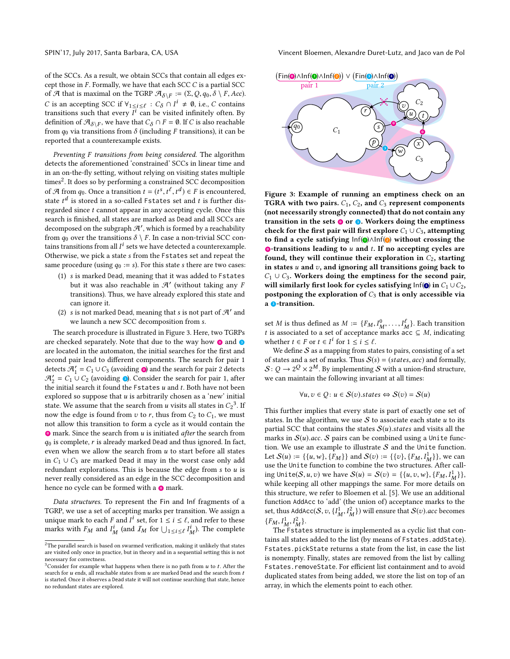of the SCCs. As a result, we obtain SCCs that contain all edges except those in  $F$ . Formally, we have that each SCC  $C$  is a partial SCC of A that is maximal on the TGRP  $\mathcal{A}_{\delta \backslash F} := (\Sigma, Q, q_0, \delta \backslash F, Acc)$ . C is an accepting SCC if  $\forall_1 \leq i \leq \ell : C_\delta \cap I^i \neq \emptyset$ , i.e., C contains transitions such that every  $I^i$  can be visited infinitely often. By transitions such that every  $I^{\prime}$  can be visited infinitely often. By definition of  $\mathcal{A}_{\delta \backslash F}$ , we have that  $C_{\delta} \cap F = \emptyset$ . If C is also reachable from  $\alpha_0$  via transitions from  $\delta$  (including F transitions) it can be from  $q_0$  via transitions from  $\delta$  (including F transitions), it can be reported that a counterexample exists.

Preventing F transitions from being considered. The algorithm detects the aforementioned 'constrained' SCCs in linear time and in an on-the-fly setting, without relying on visiting states multiple times<sup>[2](#page-3-0)</sup>. It does so by performing a constrained SCC decomposition of A from  $q_0$ . Once a transition  $t = (t^s, t^l, t^d) \in F$  is encountered, state  $t^d$  is stored in a so-called Fstates set and t is further disregarded since t cannot appear in any accepting cycle. Once this search is finished, all states are marked as Dead and all SCCs are decomposed on the subgraph  $\mathcal{A}'$ , which is formed by a reachability from  $q_0$  over the transitions  $\delta \setminus F$ . In case a non-trivial SCC contains transitions from all  $I<sup>t</sup>$  sets we have detected a counterexample. Otherwise, we pick a state s from the Fstates set and repeat the same procedure (using  $q_0 := s$ ). For this state s there are two cases:

- (1) s is marked Dead, meaning that it was added to Fstates but it was also reachable in  $\mathcal{A}'$  (without taking any F transitions). Thus, we have already explored this state and can ignore it.
- (2) s is not marked Dead, meaning that s is not part of  $\mathcal{A}'$  and we launch a new SCC decomposition from s.

The search procedure is illustrated in [Figure 3.](#page-3-1) Here, two TGRPs are checked separately. Note that due to the way how  $\bullet$  and  $\bullet$ are located in the automaton, the initial searches for the first and second pair lead to different components. The search for pair 1 detects  $\mathcal{A}'_1 = C_1 \cup C_3$  (avoiding 0) and the search for pair 2 detects  $\mathcal{A}'_2 = C_1 \cup C_2$  (avoiding 0). Consider the search for pair 1, after the initial search it found the Fstates  $u$  and  $t$ . Both have not been explored so suppose that  $u$  is arbitrarily chosen as a 'new' initial state. We assume that the search from  $u$  visits all states in  $C_2^3$  $C_2^3$ . If now the edge is found from v to r, thus from  $C_2$  to  $C_1$ , we must not allow this transition to form a cycle as it would contain the  $\bullet$  mark. Since the search from  $u$  is initiated *after* the search from  $q_0$  is complete,  $r$  is already marked Dead and thus ignored. In fact, even when we allow the search from  $u$  to start before all states in  $C_1 \cup C_3$  are marked Dead it may in the worst case only add redundant explorations. This is because the edge from  $s$  to  $u$  is never really considered as an edge in the SCC decomposition and hence no cycle can be formed with a  $\bullet$  mark.

Data structures. To represent the Fin and Inf fragments of a TGRP, we use a set of accepting marks per transition. We assign a unique mark to each F and  $I^i$  set, for  $1 \le i \le \ell$ , and refer to these<br>marks with Excand  $I^i$ , (and Ly for  $| \cdot |$ ,  $I^i$ ). The complete marks with  $F_M$  and  $I_M^i$  (and  $I_M$  for  $\bigcup_{1 \le i \le \ell} I_M^i$ ). The complete

SPIN'17, July 2017, Santa Barbara, CA, USA Vincent Bloemen, Alexandre Duret-Lutz, and Jaco van de Pol

<span id="page-3-1"></span>

Figure 3: Example of running an emptiness check on an TGRA with two pairs.  $C_1$ ,  $C_2$ , and  $C_3$  represent components (not necessarily strongly connected) that do not contain any transition in the sets  $\bullet$  or  $\bullet$ . Workers doing the emptiness check for the first pair will first explore  $C_1 \cup C_3$ , attempting to find a cycle satisfying  $Inf(Q) \wedge Inf(Q)$  without crossing the  $\bullet$ -transitions leading to  $u$  and  $t$ . If no accepting cycles are found, they will continue their exploration in  $C_2$ , starting in states  $u$  and  $v$ , and ignoring all transitions going back to  $C_1 \cup C_3$ . Workers doing the emptiness for the second pair, will similarly first look for cycles satisfying  $Inf(\mathbf{Q})$  in  $C_1 \cup C_2$ , postponing the exploration of  $C_3$  that is only accessible via a <sup>3</sup>-transition.

set M is thus defined as  $M := \{F_M, I_M^0, \ldots, I_M^\ell\}$ . Each transition<br>t is associated to a set of acceptance marks acc  $\subseteq M$  indicating t is associated to a set of acceptance marks acc  $\subseteq M$ , indicating whether  $t \in F$  or  $t \in I^i$  for  $1 \le i \le \ell$ .<br>We define S as a manning from sta

We define  $S$  as a mapping from states to pairs, consisting of a set of states and a set of marks. Thus  $S(s) = (states, acc)$  and formally,  $S: Q \rightarrow 2^Q \times 2^M$ . By implementing  $S$  with a union-find structure, we can maintain the following invariant at all times:

$$
\forall u, v \in Q \colon u \in S(v).states \Leftrightarrow S(v) = S(u)
$$

This further implies that every state is part of exactly one set of states. In the algorithm, we use  $S$  to associate each state  $u$  to its partial SCC that contains the states  $S(u)$ .states and visits all the marks in  $S(u)$ .acc. S pairs can be combined using a Unite function. We use an example to illustrate  $S$  and the Unite function. Let  $S(u) := \{\{u, w\}, \{\overline{F}_M\}\}\$  and  $S(v) := \{\{v\}, \{F_M, I_M^1\}\}\$ , we can use the limite function to combine the two structures. After call use the Unite function to combine the two structures. After calling Unite $(S, u, v)$  we have  $S(u) = S(v) = \{\{u, v, w\}, \{F_M, I_M^1\}\}\$ while keeping all other mappings the same. For more details on this structure, we refer to Bloemen et al. [\[5\]](#page-9-15). We use an additional function AddAcc to 'add' (the union of) acceptance marks to the set, thus AddAcc( $S$ ,  $v$ ,  $\{I_M^1, I_M^2\}$ ) will ensure that  $S(v)$ .acc becomes  $\{F_M, I_M^1, I_M^2\}$ .<br>The Estate

The Fstates structure is implemented as a cyclic list that contains all states added to the list (by means of Fstates.addState). Fstates.pickState returns a state from the list, in case the list is nonempty. Finally, states are removed from the list by calling Fstates.removeState. For efficient list containment and to avoid duplicated states from being added, we store the list on top of an array, in which the elements point to each other.

<span id="page-3-0"></span> $^2\mathrm{The\ parallel\ search}$  is based on swarmed verification, making it unlikely that states are visited only once in practice, but in theory and in a sequential setting this is not necessary for correctness.

<span id="page-3-2"></span><sup>&</sup>lt;sup>3</sup>Consider for example what happens when there is no path from  $u$  to  $t$ . After the search for  $u$  ends, all reachable states from  $u$  are marked Dead and the search from  $t$ is started. Once it observes a Dead state it will not continue searching that state, hence no redundant states are explored.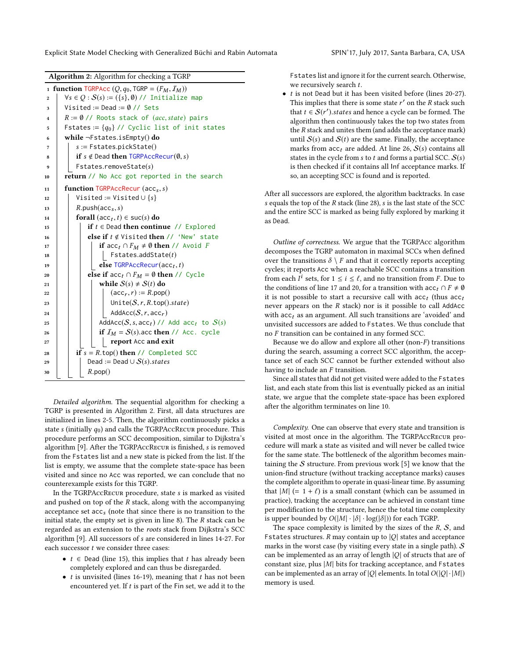Explicit State Model Checking with Generalized Büchi and Rabin Automata SPIN'17, July 2017, Santa Barbara, CA, USA



<span id="page-4-13"></span><span id="page-4-7"></span><span id="page-4-6"></span><span id="page-4-4"></span><span id="page-4-3"></span><span id="page-4-2"></span><span id="page-4-1"></span><span id="page-4-0"></span>

|                | <b>Exposition B.</b> Theorium for the tung a Terra                       |  |  |  |  |  |  |  |
|----------------|--------------------------------------------------------------------------|--|--|--|--|--|--|--|
|                | 1 function TGRPAcc $(Q, q_0, \text{TGRP} = (F_M, \mathcal{I}_M))$        |  |  |  |  |  |  |  |
| $\overline{2}$ | $\forall s \in Q : S(s) := (\{s\}, \emptyset) \text{ // Initialize map}$ |  |  |  |  |  |  |  |
| 3              | Visited:= Dead:= $\emptyset$ // Sets                                     |  |  |  |  |  |  |  |
| $\bf{4}$       | $R := \emptyset$ // Roots stack of (acc, state) pairs                    |  |  |  |  |  |  |  |
| 5              | Fstates := $\{q_0\}$ // Cyclic list of init states                       |  |  |  |  |  |  |  |
| 6              | while $\neg$ Fstates.isEmpty() do                                        |  |  |  |  |  |  |  |
| 7              | $s :=$ Fstates.pickState()                                               |  |  |  |  |  |  |  |
| 8              | if $s \notin$ Dead then TGRPAccRecur $(\emptyset, s)$                    |  |  |  |  |  |  |  |
| 9              | $Fstates$ .remove $State(s)$                                             |  |  |  |  |  |  |  |
| 10             | <b>return</b> // No Acc got reported in the search                       |  |  |  |  |  |  |  |
| 11             | function TGRPAccRecur $(\text{acc}_s, s)$                                |  |  |  |  |  |  |  |
| 12             | Visited := Visited $\cup$ {s}                                            |  |  |  |  |  |  |  |
| 13             | R.push(acc <sub>s</sub> , s)                                             |  |  |  |  |  |  |  |
| 14             | <b>forall</b> $(\text{acc}_t, t) \in \text{succ}(s)$ <b>do</b>           |  |  |  |  |  |  |  |
| 15             | if $t \in$ Dead then continue // Explored                                |  |  |  |  |  |  |  |
| 16             | else if $t \notin V$ isited then // 'New' state                          |  |  |  |  |  |  |  |
| 17             | if $acc_t \cap F_M \neq \emptyset$ then // Avoid F                       |  |  |  |  |  |  |  |
| 18             | $F$ states.add $State(t)$                                                |  |  |  |  |  |  |  |
| 19             | else TGRPAccRecur $(\text{acc}_t, t)$                                    |  |  |  |  |  |  |  |
| 20             | <b>else if</b> $acc_t \cap F_M = \emptyset$ then // Cycle                |  |  |  |  |  |  |  |
| 21             | while $S(s) \neq S(t)$ do                                                |  |  |  |  |  |  |  |
| 22             | $(\text{acc}_r, r) := R.\text{pop}()$                                    |  |  |  |  |  |  |  |
| 23             | Unite( $S, r, R.$ top().state)                                           |  |  |  |  |  |  |  |
| 24             | AddAcc $(S, r, acc_r)$                                                   |  |  |  |  |  |  |  |
| 25             | AddAcc(S, s, acc <sub>t</sub> ) // Add acc <sub>t</sub> to $S(s)$        |  |  |  |  |  |  |  |
| 26             | if $I_M = S(s)$ acc then // Acc. cycle                                   |  |  |  |  |  |  |  |
| 27             | report Acc and exit                                                      |  |  |  |  |  |  |  |
| 28             | if $s = R.\text{top}()$ then // Completed SCC                            |  |  |  |  |  |  |  |
| 29             | Dead := Dead $\cup S(s)$ .states                                         |  |  |  |  |  |  |  |
| 30             | R.pop()                                                                  |  |  |  |  |  |  |  |
|                |                                                                          |  |  |  |  |  |  |  |

<span id="page-4-11"></span><span id="page-4-10"></span><span id="page-4-9"></span><span id="page-4-8"></span><span id="page-4-5"></span>Detailed algorithm. The sequential algorithm for checking a TGRP is presented in [Algorithm 2.](#page-4-0) First, all data structures are initialized in lines [2-](#page-4-1)[5.](#page-4-2) Then, the algorithm continuously picks a state s (initially  $q_0$ ) and calls the TGRPAccRecur procedure. This procedure performs an SCC decomposition, similar to Dijkstra's algorithm [\[9\]](#page-9-16). After the TGRPAccRecur is finished, s is removed from the Fstates list and a new state is picked from the list. If the list is empty, we assume that the complete state-space has been visited and since no Acc was reported, we can conclude that no counterexample exists for this TGRP.

In the TGRPAccRecur procedure, state s is marked as visited and pushed on top of the  $R$  stack, along with the accompanying acceptance set  $acc_s$  (note that since there is no transition to the initial state, the empty set is given in line [8\)](#page-4-3). The R stack can be regarded as an extension to the roots stack from Dijkstra's SCC algorithm [\[9\]](#page-9-16). All successors of s are considered in lines [14-](#page-4-4)[27.](#page-4-5) For each successor  $t$  we consider three cases:

- $t \in$  Dead (line [15\)](#page-4-6), this implies that t has already been completely explored and can thus be disregarded.
- $t$  is unvisited (lines [16](#page-4-7)[-19\)](#page-4-8), meaning that  $t$  has not been encountered yet. If  $t$  is part of the Fin set, we add it to the

Fstates list and ignore it for the current search. Otherwise, we recursively search *t*.

• t is not Dead but it has been visited before (lines [20](#page-4-9)[-27\)](#page-4-5). This implies that there is some state  $r'$  on the  $R$  stack such that  $t \in S(r')$ .states and hence a cycle can be formed. The algorithm then continuously takes the top two states from the  $R$  stack and unites them (and adds the acceptance mark) until  $S(s)$  and  $S(t)$  are the same. Finally, the acceptance marks from  $acc_t$  are added. At line [26,](#page-4-10)  $S(s)$  contains all states in the cycle from s to t and forms a partial SCC.  $S(s)$ is then checked if it contains all Inf acceptance marks. If so, an accepting SCC is found and is reported.

After all successors are explored, the algorithm backtracks. In case s equals the top of the R stack (line [28\)](#page-4-11), s is the last state of the SCC and the entire SCC is marked as being fully explored by marking it as Dead.

<span id="page-4-12"></span>Outline of correctness. We argue that the TGRPAcc algorithm decomposes the TGRP automaton in maximal SCCs when defined over the transitions  $\delta \setminus F$  and that it correctly reports accepting cycles; it reports Acc when a reachable SCC contains a transition from each  $I^i$  sets, for  $1 \le i \le \ell$ , and no transition from F. Due to the conditions of line 17 and 20 for a transition with access  $0 \in \mathbb{R} + \ell$ the conditions of line [17](#page-4-12) and [20,](#page-4-9) for a transition with  $acc_t \cap F \neq \emptyset$ it is not possible to start a recursive call with  $acc_t$  (thus  $acc_t$ )<br>never appears on the *P* stack) nor is it possible to call AddAcc never appears on the  $R$  stack) nor is it possible to call AddAcc with  $acc<sub>t</sub>$  as an argument. All such transitions are 'avoided' and unvisited successors are added to Fstates. We thus conclude that no F transition can be contained in any formed SCC.

Because we do allow and explore all other (non- $F$ ) transitions during the search, assuming a correct SCC algorithm, the acceptance set of each SCC cannot be further extended without also having to include an  $F$  transition.

Since all states that did not get visited were added to the Fstates list, and each state from this list is eventually picked as an initial state, we argue that the complete state-space has been explored after the algorithm terminates on line [10.](#page-4-13)

Complexity. One can observe that every state and transition is visited at most once in the algorithm. The TGRPAccRecur procedure will mark a state as visited and will never be called twice for the same state. The bottleneck of the algorithm becomes maintaining the  $S$  structure. From previous work [\[5\]](#page-9-15) we know that the union-find structure (without tracking acceptance marks) causes the complete algorithm to operate in quasi-linear time. By assuming that  $|M| (= 1 + \ell)$  is a small constant (which can be assumed in practice), tracking the acceptance can be achieved in constant time per modification to the structure, hence the total time complexity is upper bounded by  $O(|M| \cdot |\delta| \cdot \log(|\delta|))$  for each TGRP.

The space complexity is limited by the sizes of the  $R$ ,  $S$ , and Fstates structures.  $R$  may contain up to  $|Q|$  states and acceptance marks in the worst case (by visiting every state in a single path).  $S$ can be implemented as an array of length  $|Q|$  of structs that are of constant size, plus  $|M|$  bits for tracking acceptance, and Fstates can be implemented as an array of  $|Q|$  elements. In total  $O(|Q| \cdot |M|)$ memory is used.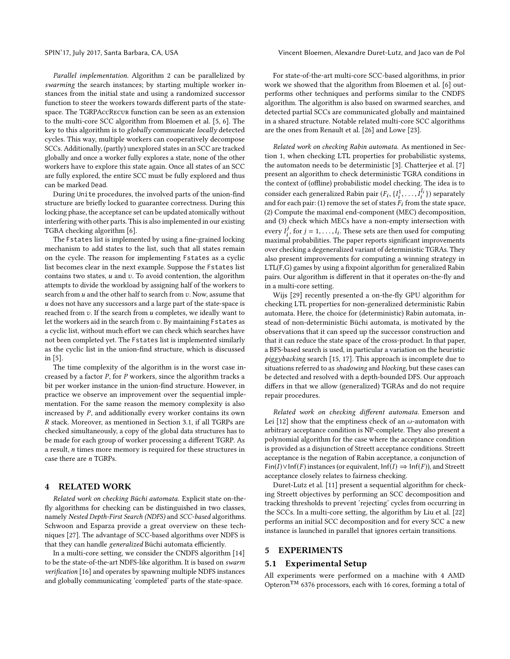Parallel implementation. [Algorithm 2](#page-4-0) can be parallelized by swarming the search instances; by starting multiple worker instances from the initial state and using a randomized successor function to steer the workers towards different parts of the statespace. The TGRPAccRecur function can be seen as an extension to the multi-core SCC algorithm from Bloemen et al. [\[5,](#page-9-15) [6\]](#page-9-3). The key to this algorithm is to globally communicate locally detected cycles. This way, multiple workers can cooperatively decompose SCCs. Additionally, (partly) unexplored states in an SCC are tracked globally and once a worker fully explores a state, none of the other workers have to explore this state again. Once all states of an SCC are fully explored, the entire SCC must be fully explored and thus can be marked Dead.

During Unite procedures, the involved parts of the union-find structure are briefly locked to guarantee correctness. During this locking phase, the acceptance set can be updated atomically without interfering with other parts. This is also implemented in our existing TGBA checking algorithm [\[6\]](#page-9-3).

The Fstates list is implemented by using a fine-grained locking mechanism to add states to the list, such that all states remain on the cycle. The reason for implementing Fstates as a cyclic list becomes clear in the next example. Suppose the Fstates list contains two states,  $u$  and  $v$ . To avoid contention, the algorithm attempts to divide the workload by assigning half of the workers to search from  $u$  and the other half to search from  $v$ . Now, assume that u does not have any successors and a large part of the state-space is reached from  $v$ . If the search from  $u$  completes, we ideally want to let the workers aid in the search from  $v$ . By maintaining Fstates as a cyclic list, without much effort we can check which searches have not been completed yet. The Fstates list is implemented similarly as the cyclic list in the union-find structure, which is discussed in [\[5\]](#page-9-15).

The time complexity of the algorithm is in the worst case increased by a factor  $P$ , for  $P$  workers, since the algorithm tracks a bit per worker instance in the union-find structure. However, in practice we observe an improvement over the sequential implementation. For the same reason the memory complexity is also increased by P, and additionally every worker contains its own R stack. Moreover, as mentioned in [Section 3.1,](#page-2-4) if all TGRPs are checked simultaneously, a copy of the global data structures has to be made for each group of worker processing a different TGRP. As a result, n times more memory is required for these structures in case there are n TGRPs.

# <span id="page-5-0"></span>4 RELATED WORK

Related work on checking Büchi automata. Explicit state on-thefly algorithms for checking can be distinguished in two classes, namely Nested Depth-First Search (NDFS) and SCC-based algorithms. Schwoon and Esparza provide a great overview on these techniques [\[27\]](#page-9-2). The advantage of SCC-based algorithms over NDFS is that they can handle generalized Büchi automata efficiently.

In a multi-core setting, we consider the CNDFS algorithm [\[14\]](#page-9-4) to be the state-of-the-art NDFS-like algorithm. It is based on swarm verification [\[16\]](#page-9-17) and operates by spawning multiple NDFS instances and globally communicating 'completed' parts of the state-space.

SPIN'17, July 2017, Santa Barbara, CA, USA Vincent Bloemen, Alexandre Duret-Lutz, and Jaco van de Pol

For state-of-the-art multi-core SCC-based algorithms, in prior work we showed that the algorithm from Bloemen et al. [\[6\]](#page-9-3) outperforms other techniques and performs similar to the CNDFS algorithm. The algorithm is also based on swarmed searches, and detected partial SCCs are communicated globally and maintained in a shared structure. Notable related multi-core SCC algorithms are the ones from Renault et al. [\[26\]](#page-9-6) and Lowe [\[23\]](#page-9-18).

Related work on checking Rabin automata. As mentioned in [Sec](#page-0-0)[tion 1,](#page-0-0) when checking LTL properties for probabilistic systems, the automaton needs to be deterministic [\[3\]](#page-8-0). Chatterjee et al. [\[7\]](#page-9-8) present an algorithm to check deterministic TGRA conditions in the context of (offline) probabilistic model checking. The idea is to consider each generalized Rabin pair  $(F_i, \{I_i^1, \ldots, I_i^l\})$  separately<br>and for each pair: (1) remove the set of states F, from the state space and for each pair: (1) remove the set of states  $F_i$  from the state space,<br>(2) Compute the maximal and component (MEC) decomposition (2) Compute the maximal end-component (MEC) decomposition, and (3) check which MECs have a non-empty intersection with every  $I_i^j$ , for  $j = 1, \ldots, I_i$ . These sets are then used for computing<br>maximal probabilities. The paper reports significant improvements maximal probabilities. The paper reports significant improvements over checking a degeneralized variant of deterministic TGRAs. They also present improvements for computing a winning strategy in LTL(F,G) games by using a fixpoint algorithm for generalized Rabin pairs. Our algorithm is different in that it operates on-the-fly and in a multi-core setting.

Wijs [\[29\]](#page-9-11) recently presented a on-the-fly GPU algorithm for checking LTL properties for non-generalized deterministic Rabin automata. Here, the choice for (deterministic) Rabin automata, instead of non-deterministic Büchi automata, is motivated by the observations that it can speed up the successor construction and that it can reduce the state space of the cross-product. In that paper, a BFS-based search is used, in particular a variation on the heuristic piggybacking search [\[15,](#page-9-19) [17\]](#page-9-5). This approach is incomplete due to situations referred to as *shadowing* and *blocking*, but these cases can be detected and resolved with a depth-bounded DFS. Our approach differs in that we allow (generalized) TGRAs and do not require repair procedures.

Related work on checking different automata. Emerson and Lei [\[12\]](#page-9-14) show that the emptiness check of an  $\omega$ -automaton with arbitrary acceptance condition is NP-complete. They also present a polynomial algorithm for the case where the acceptance condition is provided as a disjunction of Streett acceptance conditions. Streett acceptance is the negation of Rabin acceptance, a conjunction of Fin(I)∨Inf(F) instances (or equivalent, Inf(I)  $\Rightarrow$  Inf(F)), and Streett acceptance closely relates to fairness checking.

Duret-Lutz et al. [\[11\]](#page-9-20) present a sequential algorithm for checking Streett objectives by performing an SCC decomposition and tracking thresholds to prevent 'rejecting' cycles from occurring in the SCCs. In a multi-core setting, the algorithm by Liu et al. [\[22\]](#page-9-21) performs an initial SCC decomposition and for every SCC a new instance is launched in parallel that ignores certain transitions.

# <span id="page-5-1"></span>5 EXPERIMENTS

#### 5.1 Experimental Setup

All experiments were performed on a machine with 4 AMD Opteron<sup>TM</sup> 6376 processors, each with 16 cores, forming a total of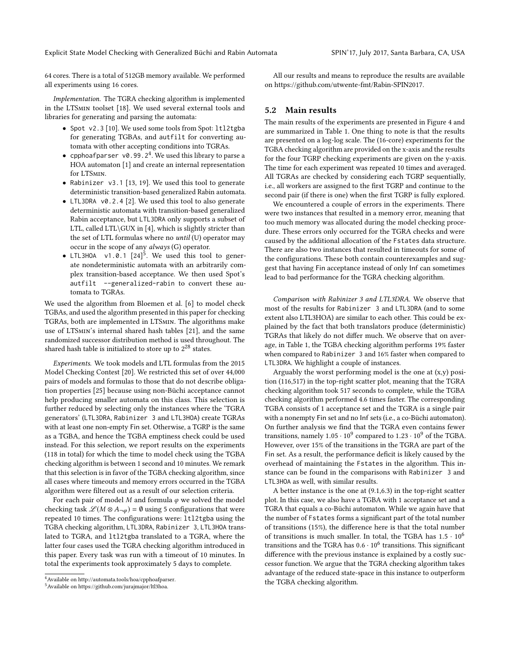Explicit State Model Checking with Generalized Büchi and Rabin Automata SPIN'17, July 2017, Santa Barbara, CA, USA

64 cores. There is a total of 512GB memory available. We performed all experiments using 16 cores.

Implementation. The TGRA checking algorithm is implemented in the LTSmin toolset [\[18\]](#page-9-12). We used several external tools and libraries for generating and parsing the automata:

- Spot v2.3 [\[10\]](#page-9-13). We used some tools from Spot: ltl2tgba for generating TGBAs, and autfilt for converting automata with other accepting conditions into TGRAs.
- cpphoafparser  $v0.99.2<sup>4</sup>$  $v0.99.2<sup>4</sup>$  $v0.99.2<sup>4</sup>$ . We used this library to parse a HOA automaton [\[1\]](#page-8-2) and create an internal representation for LTSmin.
- Rabinizer v3.1 [\[13,](#page-9-9) [19\]](#page-9-10). We used this tool to generate deterministic transition-based generalized Rabin automata.
- LTL3DRA v0.2.4 [\[2\]](#page-8-1). We used this tool to also generate deterministic automata with transition-based generalized Rabin acceptance, but LTL3DRA only supports a subset of LTL, called LTL\GUX in [\[4\]](#page-9-22), which is slightly stricter than the set of LTL formulas where no until (U) operator may occur in the scope of any always (G) operator.
- LTL3HOA  $\vee$ 1.0.1 [\[24\]](#page-9-23)<sup>[5](#page-6-1)</sup>. We used this tool to generate nondeterministic automata with an arbitrarily complex transition-based acceptance. We then used Spot's autfilt --generalized-rabin to convert these automata to TGRAs.

We used the algorithm from Bloemen et al. [\[6\]](#page-9-3) to model check TGBAs, and used the algorithm presented in this paper for checking TGRAs, both are implemented in LTSmin. The algorithms make use of LTSmin's internal shared hash tables [\[21\]](#page-9-24), and the same randomized successor distribution method is used throughout. The shared hash table is initialized to store up to  $2^{28}$  states.

Experiments. We took models and LTL formulas from the 2015 Model Checking Contest [\[20\]](#page-9-25). We restricted this set of over 44,000 pairs of models and formulas to those that do not describe obligation properties [\[25\]](#page-9-26) because using non-Büchi acceptance cannot help producing smaller automata on this class. This selection is further reduced by selecting only the instances where the 'TGRA generators' (LTL3DRA, Rabinizer 3 and LTL3HOA) create TGRAs with at least one non-empty Fin set. Otherwise, a TGRP is the same as a TGBA, and hence the TGBA emptiness check could be used instead. For this selection, we report results on the experiments (118 in total) for which the time to model check using the TGBA checking algorithm is between 1 second and 10 minutes. We remark that this selection is in favor of the TGBA checking algorithm, since all cases where timeouts and memory errors occurred in the TGBA algorithm were filtered out as a result of our selection criteria.

For each pair of model M and formula  $\varphi$  we solved the model checking task  $\mathcal{L}(M \otimes A_{\neg \varphi}) = \emptyset$  using 5 configurations that were repeated 10 times. The configurations were: ltl2tgba using the TGBA checking algorithm, LTL3DRA, Rabinizer 3, LTL3HOA translated to TGRA, and ltl2tgba translated to a TGRA, where the latter four cases used the TGRA checking algorithm introduced in this paper. Every task was run with a timeout of 10 minutes. In total the experiments took approximately 5 days to complete.

All our results and means to reproduce the results are available on [https://github.com/utwente-fmt/Rabin-SPIN2017.](https://github.com/utwente-fmt/Rabin-SPIN2017)

#### 5.2 Main results

The main results of the experiments are presented in [Figure 4](#page-7-0) and are summarized in [Table 1.](#page-7-1) One thing to note is that the results are presented on a log-log scale. The (16-core) experiments for the TGBA checking algorithm are provided on the x-axis and the results for the four TGRP checking experiments are given on the y-axis. The time for each experiment was repeated 10 times and averaged. All TGRAs are checked by considering each TGRP sequentially, i.e., all workers are assigned to the first TGRP and continue to the second pair (if there is one) when the first TGRP is fully explored.

We encountered a couple of errors in the experiments. There were two instances that resulted in a memory error, meaning that too much memory was allocated during the model checking procedure. These errors only occurred for the TGRA checks and were caused by the additional allocation of the Fstates data structure. There are also two instances that resulted in timeouts for some of the configurations. These both contain counterexamples and suggest that having Fin acceptance instead of only Inf can sometimes lead to bad performance for the TGRA checking algorithm.

Comparison with Rabinizer 3 and LTL3DRA. We observe that most of the results for Rabinizer 3 and LTL3DRA (and to some extent also LTL3HOA) are similar to each other. This could be explained by the fact that both translators produce (deterministic) TGRAs that likely do not differ much. We observe that on average, in [Table 1,](#page-7-1) the TGBA checking algorithm performs 19% faster when compared to Rabinizer 3 and 16% faster when compared to LTL3DRA. We highlight a couple of instances.

Arguably the worst performing model is the one at  $(x,y)$  position (116,517) in the top-right scatter plot, meaning that the TGRA checking algorithm took 517 seconds to complete, while the TGBA checking algorithm performed 4.6 times faster. The corresponding TGBA consists of 1 acceptance set and the TGRA is a single pair with a nonempty Fin set and no Inf sets (i.e., a co-Büchi automaton). On further analysis we find that the TGRA even contains fewer transitions, namely  $1.05 \cdot 10^9$  compared to  $1.23 \cdot 10^9$  of the TGBA.<br>However, over 15% of the transitions in the TGBA are part of the However, over 15% of the transitions in the TGRA are part of the Fin set. As a result, the performance deficit is likely caused by the overhead of maintaining the Fstates in the algorithm. This instance can be found in the comparisons with Rabinizer 3 and LTL3HOA as well, with similar results.

A better instance is the one at (9.1,6.3) in the top-right scatter plot. In this case, we also have a TGBA with 1 acceptance set and a TGRA that equals a co-Büchi automaton. While we again have that the number of Fstates forms a significant part of the total number of transitions (15%), the difference here is that the total number of transitions is much smaller. In total, the TGBA has  $1.5 \cdot 10^6$ transitions and the TGRA has  $0.6 \cdot 10^6$  transitions. This significant difference with the previous instance is explained by a costly sucdifference with the previous instance is explained by a costly successor function. We argue that the TGRA checking algorithm takes advantage of the reduced state-space in this instance to outperform the TGBA checking algorithm.

<span id="page-6-0"></span><sup>4</sup>Available on [http://automata.tools/hoa/cpphoafparser.](http://automata.tools/hoa/cpphoafparser)

<span id="page-6-1"></span><sup>5</sup>Available on [https://github.com/jurajmajor/ltl3hoa.](https://github.com/jurajmajor/ltl3hoa)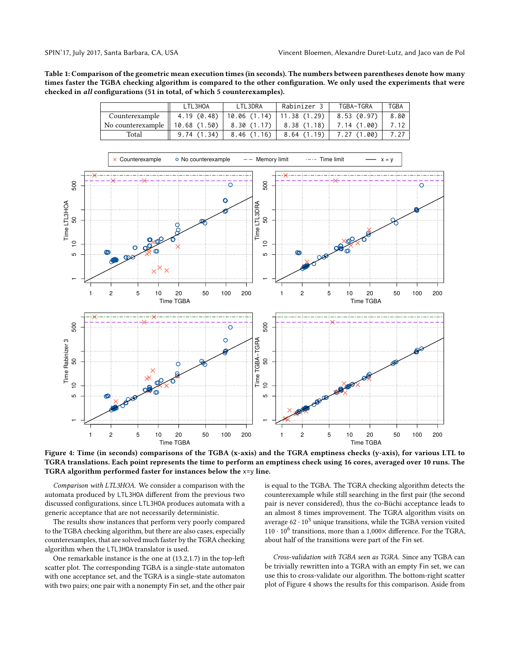<span id="page-7-1"></span>Table 1: Comparison of the geometric mean execution times (in seconds). The numbers between parentheses denote how many times faster the TGBA checking algorithm is compared to the other configuration. We only used the experiments that were checked in all configurations (51 in total, of which 5 counterexamples).

|                                                                                    | LTL3HOA    | LTL3DRA | Rabinizer 3 | TGBA-TGRA                                                                | TGBA |
|------------------------------------------------------------------------------------|------------|---------|-------------|--------------------------------------------------------------------------|------|
| Counterexample                                                                     |            |         |             | 4.19 (0.48)   10.06 (1.14)   11.38 (1.29)   8.53 (0.97)                  | 8.80 |
| No counterexample    10.68 (1.50)   8.30 (1.17)   8.38 (1.18)   7.14 (1.00)   7.12 |            |         |             |                                                                          |      |
| Total                                                                              | 9.74(1.34) |         |             | $\vert$ 8.46 (1.16) $\vert$ 8.64 (1.19) $\vert$ 7.27 (1.00) $\vert$ 7.27 |      |

<span id="page-7-0"></span>

Figure 4: Time (in seconds) comparisons of the TGBA (x-axis) and the TGRA emptiness checks (y-axis), for various LTL to TGRA translations. Each point represents the time to perform an emptiness check using 16 cores, averaged over 10 runs. The TGRA algorithm performed faster for instances below the x=y line.

Comparison with LTL3HOA. We consider a comparison with the automata produced by LTL3HOA different from the previous two discussed configurations, since LTL3HOA produces automata with a generic acceptance that are not necessarily deterministic.

The results show instances that perform very poorly compared to the TGBA checking algorithm, but there are also cases, especially counterexamples, that are solved much faster by the TGRA checking algorithm when the LTL3HOA translator is used.

One remarkable instance is the one at (13.2,1.7) in the top-left scatter plot. The corresponding TGBA is a single-state automaton with one acceptance set, and the TGRA is a single-state automaton with two pairs; one pair with a nonempty Fin set, and the other pair is equal to the TGBA. The TGRA checking algorithm detects the counterexample while still searching in the first pair (the second pair is never considered), thus the co-Büchi acceptance leads to an almost 8 times improvement. The TGRA algorithm visits on average  $62 \cdot 10^3$  unique transitions, while the TGBA version visited 110  $\cdot$  10<sup>6</sup> transitions, more than a 1,000 $\times$  difference. For the TGRA, about half of the transitions were part of the Fin set.

Cross-validation with TGBA seen as TGRA. Since any TGBA can be trivially rewritten into a TGRA with an empty Fin set, we can use this to cross-validate our algorithm. The bottom-right scatter plot of [Figure 4](#page-7-0) shows the results for this comparison. Aside from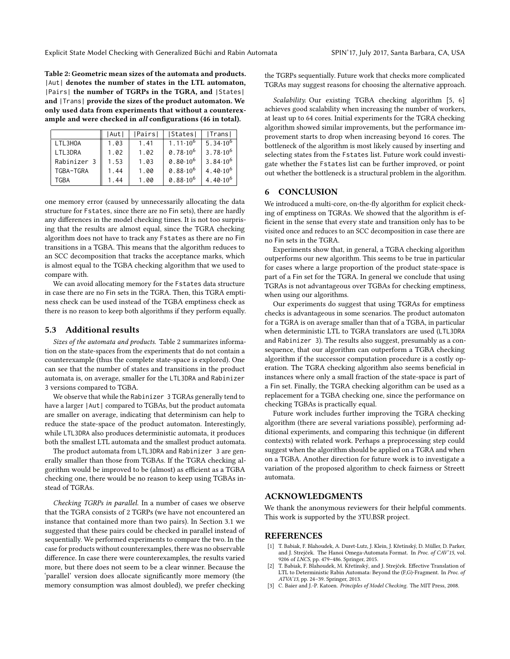<span id="page-8-4"></span>Table 2: Geometric mean sizes of the automata and products. |Aut| denotes the number of states in the LTL automaton, |Pairs| the number of TGRPs in the TGRA, and |States| and |Trans| provide the sizes of the product automaton. We only used data from experiments that without a counterexample and were checked in all configurations (46 in total).

|             | Aut  | Pairs | States              | <b>ITransl</b>       |
|-------------|------|-------|---------------------|----------------------|
| LTL3HOA     | 1.03 | 1.41  | $1.11 \cdot 10^{6}$ | $5.34 \cdot 10^6$    |
|             |      |       |                     |                      |
| LTL3DRA     | 1.02 | 1.02  | $0.78 \cdot 10^6$   | $3.78 \cdot 10^6$    |
| Rabinizer 3 | 1.53 | 1.03  | $0.80 \cdot 10^{6}$ | $3.84 \cdot 10^6$    |
| TGBA-TGRA   | 1.44 | 1.00  | $0.88 \cdot 10^{6}$ | 4.40.10 <sup>6</sup> |
| TGBA        | 1.44 | 1.00  | $0.88 \cdot 10^6$   | $4.40 \cdot 10^6$    |

one memory error (caused by unnecessarily allocating the data structure for Fstates, since there are no Fin sets), there are hardly any differences in the model checking times. It is not too surprising that the results are almost equal, since the TGRA checking algorithm does not have to track any Fstates as there are no Fin transitions in a TGBA. This means that the algorithm reduces to an SCC decomposition that tracks the acceptance marks, which is almost equal to the TGBA checking algorithm that we used to compare with.

We can avoid allocating memory for the Fstates data structure in case there are no Fin sets in the TGRA. Then, this TGRA emptiness check can be used instead of the TGBA emptiness check as there is no reason to keep both algorithms if they perform equally.

#### 5.3 Additional results

Sizes of the automata and products. [Table 2](#page-8-4) summarizes information on the state-spaces from the experiments that do not contain a counterexample (thus the complete state-space is explored). One can see that the number of states and transitions in the product automata is, on average, smaller for the LTL3DRA and Rabinizer 3 versions compared to TGBA.

We observe that while the Rabinizer 3 TGRAs generally tend to have a larger | Aut | compared to TGBAs, but the product automata are smaller on average, indicating that determinism can help to reduce the state-space of the product automaton. Interestingly, while LTL3DRA also produces deterministic automata, it produces both the smallest LTL automata and the smallest product automata.

The product automata from LTL3DRA and Rabinizer 3 are generally smaller than those from TGBAs. If the TGRA checking algorithm would be improved to be (almost) as efficient as a TGBA checking one, there would be no reason to keep using TGBAs instead of TGRAs.

Checking TGRPs in parallel. In a number of cases we observe that the TGRA consists of 2 TGRPs (we have not encountered an instance that contained more than two pairs). In [Section 3.1](#page-2-4) we suggested that these pairs could be checked in parallel instead of sequentially. We performed experiments to compare the two. In the case for products without counterexamples, there was no observable difference. In case there were counterexamples, the results varied more, but there does not seem to be a clear winner. Because the 'parallel' version does allocate significantly more memory (the memory consumption was almost doubled), we prefer checking

the TGRPs sequentially. Future work that checks more complicated TGRAs may suggest reasons for choosing the alternative approach.

Scalability. Our existing TGBA checking algorithm [\[5,](#page-9-15) [6\]](#page-9-3) achieves good scalability when increasing the number of workers, at least up to 64 cores. Initial experiments for the TGRA checking algorithm showed similar improvements, but the performance improvement starts to drop when increasing beyond 16 cores. The bottleneck of the algorithm is most likely caused by inserting and selecting states from the Fstates list. Future work could investigate whether the Fstates list can be further improved, or point out whether the bottleneck is a structural problem in the algorithm.

# <span id="page-8-3"></span>6 CONCLUSION

We introduced a multi-core, on-the-fly algorithm for explicit checking of emptiness on TGRAs. We showed that the algorithm is efficient in the sense that every state and transition only has to be visited once and reduces to an SCC decomposition in case there are no Fin sets in the TGRA.

Experiments show that, in general, a TGBA checking algorithm outperforms our new algorithm. This seems to be true in particular for cases where a large proportion of the product state-space is part of a Fin set for the TGRA. In general we conclude that using TGRAs is not advantageous over TGBAs for checking emptiness, when using our algorithms.

Our experiments do suggest that using TGRAs for emptiness checks is advantageous in some scenarios. The product automaton for a TGRA is on average smaller than that of a TGBA, in particular when deterministic LTL to TGRA translators are used (LTL3DRA and Rabinizer 3). The results also suggest, presumably as a consequence, that our algorithm can outperform a TGBA checking algorithm if the successor computation procedure is a costly operation. The TGRA checking algorithm also seems beneficial in instances where only a small fraction of the state-space is part of a Fin set. Finally, the TGRA checking algorithm can be used as a replacement for a TGBA checking one, since the performance on checking TGBAs is practically equal.

Future work includes further improving the TGRA checking algorithm (there are several variations possible), performing additional experiments, and comparing this technique (in different contexts) with related work. Perhaps a preprocessing step could suggest when the algorithm should be applied on a TGRA and when on a TGBA. Another direction for future work is to investigate a variation of the proposed algorithm to check fairness or Streett automata.

# ACKNOWLEDGMENTS

We thank the anonymous reviewers for their helpful comments. This work is supported by the 3TU.BSR project.

#### REFERENCES

- <span id="page-8-2"></span>[1] T. Babiak, F. Blahoudek, A. Duret-Lutz, J. Klein, J. Křetínský, D. Müller, D. Parker, and J. Strejček. The Hanoi Omega-Automata Format. In Proc. of CAV'15, vol. 9206 of LNCS, pp. 479–486. Springer, 2015.
- <span id="page-8-1"></span>[2] T. Babiak, F. Blahoudek, M. Křetínský, and J. Strejček. Effective Translation of LTL to Deterministic Rabin Automata: Beyond the (F,G)-Fragment. In Proc. of ATVA'13, pp. 24–39. Springer, 2013.
- <span id="page-8-0"></span>[3] C. Baier and J.-P. Katoen. Principles of Model Checking. The MIT Press, 2008.